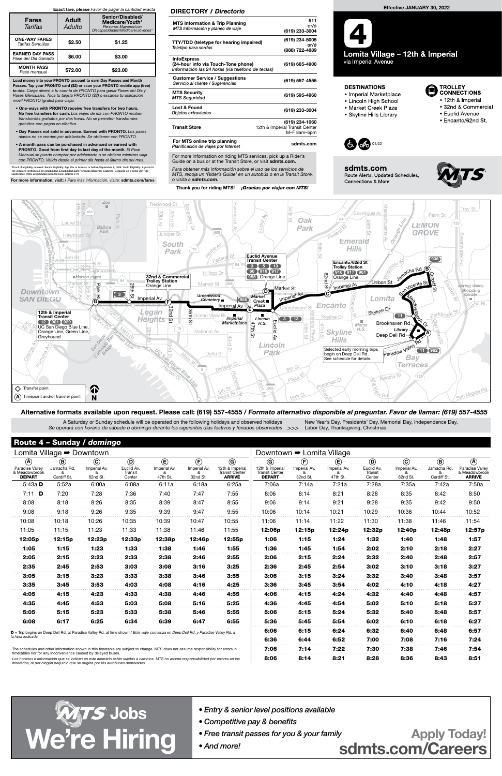8:06 8:14 8:21 8:28 8:36 8:43 8:51

# Route 4 – Sunday / domingo

| Lomita Village $\rightarrow$ Downtown                                                                                                |                                           |                                     |                                                   |                                         |                                                        |                                                                          |                                                                      | Downtown → Lomita Village                                       |                                         |                                                   |                                     |                                           |                                                                  |
|--------------------------------------------------------------------------------------------------------------------------------------|-------------------------------------------|-------------------------------------|---------------------------------------------------|-----------------------------------------|--------------------------------------------------------|--------------------------------------------------------------------------|----------------------------------------------------------------------|-----------------------------------------------------------------|-----------------------------------------|---------------------------------------------------|-------------------------------------|-------------------------------------------|------------------------------------------------------------------|
| $\circledA$<br>Paradise Valley<br>& Meadowbrook<br><b>DEPART</b>                                                                     | $\circledR$<br>Jamacha Rd.<br>Cardiff St. | $\odot$<br>Imperial Av.<br>62nd St. | $\circledcirc$<br>Euclid Av.<br>Transit<br>Center | $\circlede$<br>Imperial Av.<br>47th St. | $\left(\widehat{F}\right)$<br>Imperial Av.<br>32nd St. | $\mathbf G$<br>12th & Imperial<br><b>Transit Center</b><br><b>ARRIVE</b> | $\odot$<br>12th & Imperial<br><b>Transit Center</b><br><b>DEPART</b> | $\left(\widehat{\mathbf{F}}\right)$<br>Imperial Av.<br>32nd St. | $\circlede$<br>Imperial Av.<br>47th St. | $\circledcirc$<br>Euclid Av.<br>Transit<br>Center | $\odot$<br>Imperial Av.<br>62nd St. | $\circledR$<br>Jamacha Rd.<br>Cardiff St. | $\circledA$<br>Paradise Valley<br>& Meadowbrook<br><b>ARRIVE</b> |
| 5:43a $D$                                                                                                                            | 5:52a                                     | 6:00a                               | 6:08a                                             | 6:11a                                   | 6:18a                                                  | 6:25a                                                                    | 7:06a                                                                | 7:14a                                                           | 7:21a                                   | 7:28a                                             | 7:35a                               | 7:42a                                     | 7:50a                                                            |
| 7:11 <b>D</b>                                                                                                                        | 7:20                                      | 7:28                                | 7:36                                              | 7:40                                    | 7:47                                                   | 7:55                                                                     | 8:06                                                                 | 8:14                                                            | 8:21                                    | 8:28                                              | 8:35                                | 8:42                                      | 8:50                                                             |
| 8:08                                                                                                                                 | 8:18                                      | 8:26                                | 8:35                                              | 8:39                                    | 8:47                                                   | 8:55                                                                     | 9:06                                                                 | 9:14                                                            | 9:21                                    | 9:28                                              | 9:35                                | 9:42                                      | 9:50                                                             |
| 9:08                                                                                                                                 | 9:18                                      | 9:26                                | 9:35                                              | 9:39                                    | 9:47                                                   | 9:55                                                                     | 10:06                                                                | 10:14                                                           | 10:21                                   | 10:29                                             | 10:36                               | 10:44                                     | 10:52                                                            |
| 10:08                                                                                                                                | 10:18                                     | 10:26                               | 10:35                                             | 10:39                                   | 10:47                                                  | 10:55                                                                    | 11:06                                                                | 11:14                                                           | 11:22                                   | 11:30                                             | 11:38                               | 11:46                                     | 11:54                                                            |
| 11:05                                                                                                                                | 11:15                                     | 11:23                               | 11:33                                             | 11:38                                   | 11:46                                                  | 11:55                                                                    | 12:06p                                                               | 12:15p                                                          | 12:24p                                  | 12:32p                                            | 12:40p                              | 12:48p                                    | 12:57p                                                           |
| 12:05p                                                                                                                               | 12:15p                                    | 12:23p                              | 12:33p                                            | 12:38p                                  | 12:46p                                                 | 12:55p                                                                   | 1:06                                                                 | 1:15                                                            | 1:24                                    | 1:32                                              | 1:40                                | 1:48                                      | 1:57                                                             |
| 1:05                                                                                                                                 | 1:15                                      | 1:23                                | 1:33                                              | 1:38                                    | 1:46                                                   | 1:55                                                                     | 1:36                                                                 | 1:45                                                            | 1:54                                    | 2:02                                              | 2:10                                | 2:18                                      | 2:27                                                             |
| 2:05                                                                                                                                 | 2:15                                      | 2:23                                | 2:33                                              | 2:38                                    | 2:46                                                   | 2:55                                                                     | 2:06                                                                 | 2:15                                                            | 2:24                                    | 2:32                                              | 2:40                                | 2:48                                      | 2:57                                                             |
| 2:35                                                                                                                                 | 2:45                                      | 2:53                                | 3:03                                              | 3:08                                    | 3:16                                                   | 3:25                                                                     | 2:36                                                                 | 2:45                                                            | 2:54                                    | 3:02                                              | 3:10                                | 3:18                                      | 3:27                                                             |
| 3:05                                                                                                                                 | 3:15                                      | 3:23                                | 3:33                                              | 3:38                                    | 3:46                                                   | 3:55                                                                     | 3:06                                                                 | 3:15                                                            | 3:24                                    | 3:32                                              | 3:40                                | 3:48                                      | 3:57                                                             |
| 3:35                                                                                                                                 | 3:45                                      | 3:53                                | 4:03                                              | 4:08                                    | 4:16                                                   | 4:25                                                                     | 3:36                                                                 | 3:45                                                            | 3:54                                    | 4:02                                              | 4:10                                | 4:18                                      | 4:27                                                             |
| 4:05                                                                                                                                 | 4:15                                      | 4:23                                | 4:33                                              | 4:38                                    | 4:46                                                   | 4:55                                                                     | 4:06                                                                 | 4:15                                                            | 4:24                                    | 4:32                                              | 4:40                                | 4:48                                      | 4:57                                                             |
| 4:35                                                                                                                                 | 4:45                                      | 4:53                                | 5:03                                              | 5:08                                    | 5:16                                                   | 5:25                                                                     | 4:36                                                                 | 4:45                                                            | 4:54                                    | 5:02                                              | 5:10                                | 5:18                                      | 5:27                                                             |
| 5:05                                                                                                                                 | 5:15                                      | 5:23                                | 5:33                                              | 5:38                                    | 5:46                                                   | 5:55                                                                     | 5:06                                                                 | 5:15                                                            | 5:24                                    | 5:32                                              | 5:40                                | 5:48                                      | 5:57                                                             |
| 6:08                                                                                                                                 | 6:17                                      | 6:25                                | 6:34                                              | 6:39                                    | 6:47                                                   | 6:55                                                                     | 5:36                                                                 | 5:45                                                            | 5:54                                    | 6:02                                              | 6:10                                | 6:18                                      | 6:27                                                             |
| D = Trip begins on Deep Dell Rd. at Paradise Valley Rd. at time shown / Este viaje comienza en Deep Dell Rd. y Paradise Valley Rd. a |                                           |                                     |                                                   |                                         |                                                        |                                                                          | 6:06                                                                 | 6:15                                                            | 6:24                                    | 6:32                                              | 6:40                                | 6:48                                      | 6:57                                                             |
| la hora indicada                                                                                                                     |                                           |                                     |                                                   |                                         |                                                        |                                                                          | 6:36                                                                 | 6:44                                                            | 6:52                                    | 7:00                                              | 7:08                                | 7:16                                      | 7:24                                                             |
| The schedules and other information shown in this timetable are subject to change. MTS does not assume responsibility for errors in  |                                           |                                     |                                                   |                                         |                                                        |                                                                          |                                                                      | 7:14                                                            | 7:22                                    | 7:30                                              | 7:38                                | 7:46                                      | 7:54                                                             |

A Saturday or Sunday schedule will be operated on the following holidays and observed holidays Se operará con horario de sábado o domingo durante los siguientes días festivos y feriados observados >>> New Year's Day, Presidents' Day, Memorial Day, Independence Day, Labor Day, Thanksgiving, Christmas

For more information on riding MTS services, pick up a Rider's Guide on a bus or at the Transit Store, or visit sdmts.com.

**WATS Jobs**<br>Competitive pay & benefits<br>We're Hiring Cand more! And more! Solid Sample 2009 Mean of the transit passes for you & your family<br>Solimits.com/Careers sdmts.com/Careers

Load money into your PRONTO account to earn Day Passes and Month Passes. Tap your PRONTO card (\$2) or scan your PRONTO mobile app (free) to ride. Carga dinero a tu cuenta de PRONTO para ganar Pases del Día y Pases Mensuales. Toca tu tarjeta PRONTO (\$2) o escanea tu aplicación móvil PRONTO (gratis) para viajar.



- One-ways with PRONTO receive free transfers for two hours. No free transfers for cash. Los viajes de ida con PRONTO reciben transbordes gratuitos por dos horas. No se permiten transbordes gratuitos con pagos en efectivo.
- Day Passes not sold in advance. Earned with PRONTO. Los pases diarios no se venden por adelantado. Se obtienen con PRONTO.
- A month pass can be purchased in advanced or earned with PRONTO. Good from first day to last day of the month. El Pase Mensual se puede comprar por adelantado o se obtiene mientras viaja con PRONTO. Válido desde el primer día hasta el último día del mes.

\*Proof of eligibility required. Senior Eligibility: Age 65+ or born on or before September 1, 1959. Youth Eligibility: Ages 6-18<br>\*Se requiere verificación de elegibilidad. Elegibilidad para Personas Mayores: Edad 65+ o nac

For more information, visit: / Para más información, visite: sdmts.com/fares

#### Exact fare, please Favor de pagar la cantidad exacta

| <b>Fares</b><br>Tarifas                       | <b>Adult</b><br>Adulto | Senior/Disabled/<br>Medicare/Youth*<br>Personas Mayores/con<br>Discapacidades/Medicare/Jóvenes* |  |  |  |  |
|-----------------------------------------------|------------------------|-------------------------------------------------------------------------------------------------|--|--|--|--|
| <b>ONE-WAY FARES</b><br>Tarifas Sencillas     | \$2.50                 | \$1.25                                                                                          |  |  |  |  |
| <b>EARNED DAY PASS</b><br>Pase del Día Ganado | \$6.00                 | \$3.00                                                                                          |  |  |  |  |
| <b>MONTH PASS</b><br>Pase mensual             | \$72.00                | \$23.00                                                                                         |  |  |  |  |

### Alternative formats available upon request. Please call: (619) 557-4555 / Formato alternativo disponible al preguntar. Favor de llamar: (619) 557-4555

The schedules and other information shown in this timetable are subject to change. MTS does not assume responsibility for errors in timetables nor for any inconvenience caused by delayed buses.

Los horarios e información que se indican en este itinerario están sujetos a cambios. MTS no asume responsabilidad por errores en los itinerarios, ni por ningún perjuicio que se origine por los autobuses demorados.

Para obtener más información sobre el uso de los servicios de MTS, recoja un 'Rider's Guide' en un autobús o en la Transit Store, o visita a sdmts.com.

Thank you for riding MTS! **¡Gracias por viajar con MTS!** 

## DIRECTORY / Directorio

| <b>MTS Information &amp; Trip Planning</b><br>MTS Información y planeo de viaje                                | 511<br>or/ó<br>(619) 233-3004                                   |
|----------------------------------------------------------------------------------------------------------------|-----------------------------------------------------------------|
| <b>TTY/TDD</b> (teletype for hearing impaired)<br>Teletipo para sordos                                         | (619) 234-5005<br>or/ó<br>(888) 722-4889                        |
| <b>InfoExpress</b><br>(24-hour info via Touch-Tone phone)<br>Información las 24 horas (via teléfono de teclas) | (619) 685-4900                                                  |
| <b>Customer Service / Suggestions</b><br>Servicio al cliente / Sugerencias                                     | (619) 557-4555                                                  |
| <b>MTS Security</b><br><b>MTS Seguridad</b>                                                                    | (619) 595-4960                                                  |
| Lost & Found<br>Objetos extraviados                                                                            | (619) 233-3004                                                  |
| <b>Transit Store</b>                                                                                           | (619) 234-1060<br>12th & Imperial Transit Center<br>M-F 8am-5pm |
| For MTS online trip planning<br>Planificación de viajes por Internet                                           | sdmts.com                                                       |



via Imperial Avenue

#### **DESTINATIONS**

- · Imperial Marketplace
- Lincoln High School
- Market Creek Plaza
- · Skyline Hills Library



sdmts.com

**Connections & More** 

Route Alerts, Updated Schedules,



**TROLLEY** 

**CONNECTIONS** 

• 12th & Imperial

• Euclid Avenue

• Encanto/62nd St.

· 32nd & Commercial

- Entry & senior level positions available
	- Competitive pay & benefits
	- Free transit passes for you & your family

• And more!